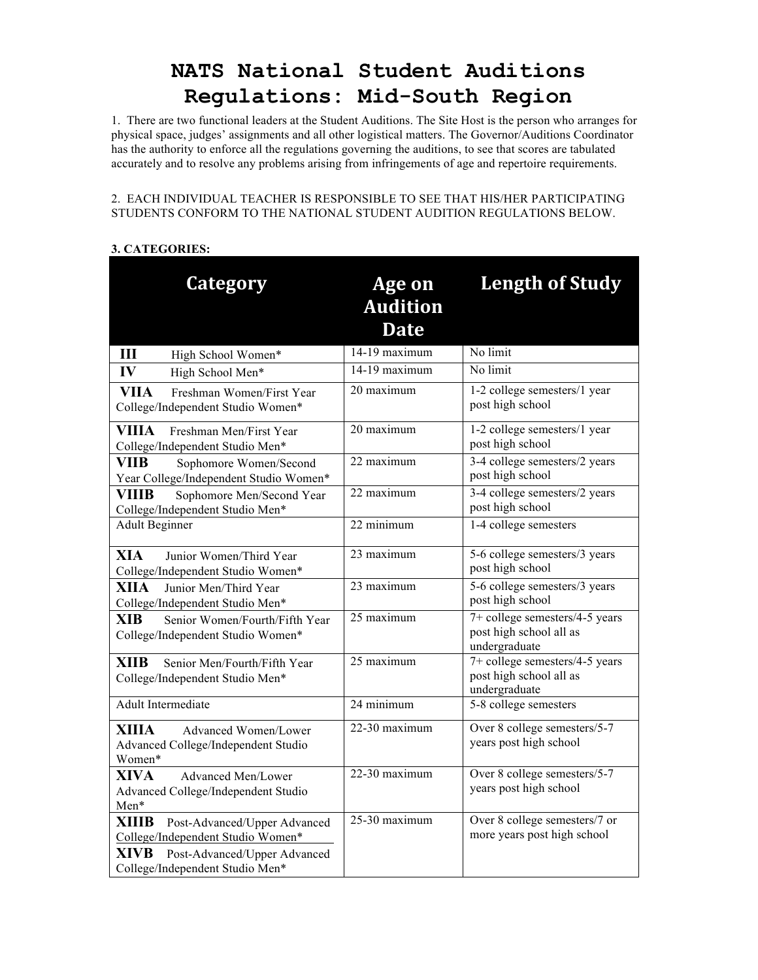# **NATS National Student Auditions Regulations: Mid-South Region**

1. There are two functional leaders at the Student Auditions. The Site Host is the person who arranges for physical space, judges' assignments and all other logistical matters. The Governor/Auditions Coordinator has the authority to enforce all the regulations governing the auditions, to see that scores are tabulated accurately and to resolve any problems arising from infringements of age and repertoire requirements.

### 2. EACH INDIVIDUAL TEACHER IS RESPONSIBLE TO SEE THAT HIS/HER PARTICIPATING STUDENTS CONFORM TO THE NATIONAL STUDENT AUDITION REGULATIONS BELOW.

## **3. CATEGORIES:**

| <b>Category</b>                                                                                                                                                     | Age on<br><b>Audition</b><br><b>Date</b> | <b>Length of Study</b>                                                     |
|---------------------------------------------------------------------------------------------------------------------------------------------------------------------|------------------------------------------|----------------------------------------------------------------------------|
| Ш<br>High School Women*                                                                                                                                             | 14-19 maximum                            | No limit                                                                   |
| IV<br>High School Men*                                                                                                                                              | 14-19 maximum                            | No limit                                                                   |
| <b>VIIA</b><br>Freshman Women/First Year<br>College/Independent Studio Women*                                                                                       | 20 maximum                               | 1-2 college semesters/1 year<br>post high school                           |
| <b>VIIIA</b><br>Freshman Men/First Year<br>College/Independent Studio Men*                                                                                          | 20 maximum                               | 1-2 college semesters/1 year<br>post high school                           |
| <b>VIIB</b><br>Sophomore Women/Second<br>Year College/Independent Studio Women*                                                                                     | 22 maximum                               | 3-4 college semesters/2 years<br>post high school                          |
| VIIIB<br>Sophomore Men/Second Year<br>College/Independent Studio Men*                                                                                               | 22 maximum                               | 3-4 college semesters/2 years<br>post high school                          |
| <b>Adult Beginner</b>                                                                                                                                               | 22 minimum                               | 1-4 college semesters                                                      |
| <b>XIA</b><br>Junior Women/Third Year<br>College/Independent Studio Women*                                                                                          | 23 maximum                               | 5-6 college semesters/3 years<br>post high school                          |
| XIIA<br>Junior Men/Third Year<br>College/Independent Studio Men*                                                                                                    | 23 maximum                               | 5-6 college semesters/3 years<br>post high school                          |
| <b>XIB</b><br>Senior Women/Fourth/Fifth Year<br>College/Independent Studio Women*                                                                                   | 25 maximum                               | 7+ college semesters/4-5 years<br>post high school all as<br>undergraduate |
| <b>XIIB</b><br>Senior Men/Fourth/Fifth Year<br>College/Independent Studio Men*                                                                                      | 25 maximum                               | 7+ college semesters/4-5 years<br>post high school all as<br>undergraduate |
| <b>Adult Intermediate</b>                                                                                                                                           | 24 minimum                               | 5-8 college semesters                                                      |
| XIIIA<br>Advanced Women/Lower<br>Advanced College/Independent Studio<br>Women*                                                                                      | 22-30 maximum                            | Over 8 college semesters/5-7<br>years post high school                     |
| <b>XIVA</b><br>Advanced Men/Lower<br>Advanced College/Independent Studio<br>Men*                                                                                    | 22-30 maximum                            | Over 8 college semesters/5-7<br>years post high school                     |
| <b>XIIIB</b><br>Post-Advanced/Upper Advanced<br>College/Independent Studio Women*<br><b>XIVB</b><br>Post-Advanced/Upper Advanced<br>College/Independent Studio Men* | 25-30 maximum                            | Over 8 college semesters/7 or<br>more years post high school               |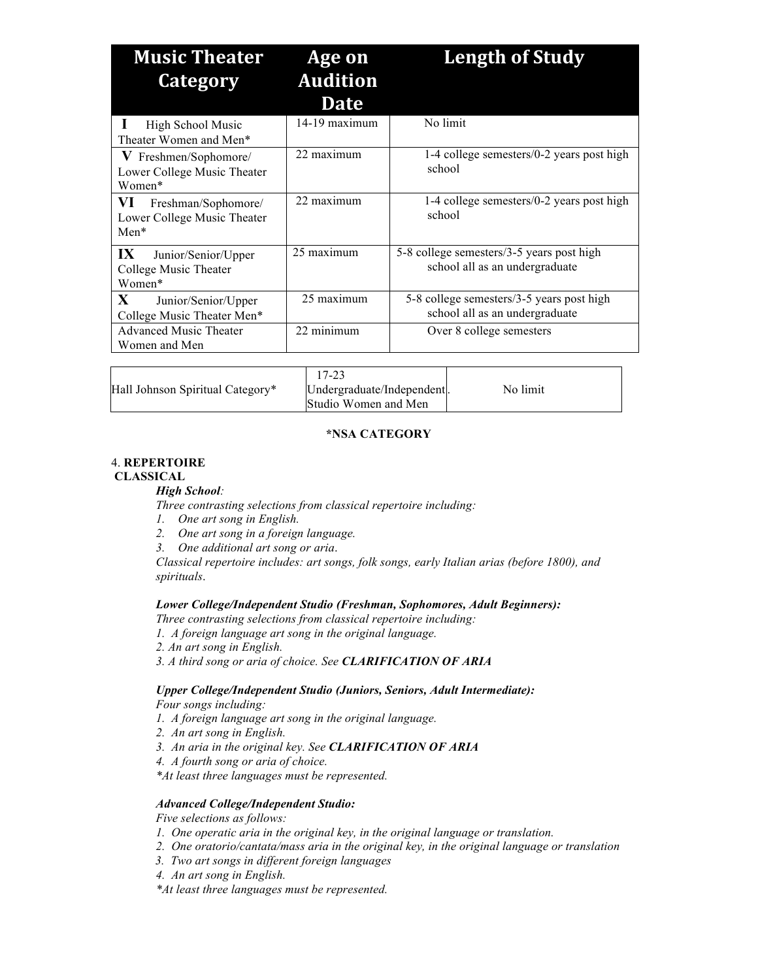| <b>Music Theater</b><br><b>Category</b>                            | Age on<br><b>Audition</b> | <b>Length of Study</b>                                                      |
|--------------------------------------------------------------------|---------------------------|-----------------------------------------------------------------------------|
|                                                                    | <b>Date</b>               |                                                                             |
| High School Music<br>Theater Women and Men*                        | $14-19$ maximum           | No limit                                                                    |
| V Freshmen/Sophomore/<br>Lower College Music Theater<br>Women*     | 22 maximum                | 1-4 college semesters/0-2 years post high<br>school                         |
| VI<br>Freshman/Sophomore/<br>Lower College Music Theater<br>$Men*$ | 22 maximum                | 1-4 college semesters/0-2 years post high<br>school                         |
| IX<br>Junior/Senior/Upper<br>College Music Theater<br>Women*       | 25 maximum                | 5-8 college semesters/3-5 years post high<br>school all as an undergraduate |
| X<br>Junior/Senior/Upper<br>College Music Theater Men*             | 25 maximum                | 5-8 college semesters/3-5 years post high<br>school all as an undergraduate |
| <b>Advanced Music Theater</b><br>Women and Men                     | 22 minimum                | Over 8 college semesters                                                    |

| Hall Johnson Spiritual Category* | $17-23$<br>Undergraduate/Independent.<br>Studio Women and Men | No limit |
|----------------------------------|---------------------------------------------------------------|----------|
|                                  |                                                               |          |

## **\*NSA CATEGORY**

## 4. **REPERTOIRE**

#### **CLASSICAL**

#### *High School:*

*Three contrasting selections from classical repertoire including:*

- *1. One art song in English.*
- *2. One art song in a foreign language.*
- *3. One additional art song or aria*.

*Classical repertoire includes: art songs, folk songs, early Italian arias (before 1800), and spirituals*.

## *Lower College/Independent Studio (Freshman, Sophomores, Adult Beginners):*

*Three contrasting selections from classical repertoire including:*

- *1. A foreign language art song in the original language.*
- *2. An art song in English.*
- *3. A third song or aria of choice. See CLARIFICATION OF ARIA*

#### *Upper College/Independent Studio (Juniors, Seniors, Adult Intermediate): Four songs including:*

- *1. A foreign language art song in the original language.*
- *2. An art song in English.*
- *3. An aria in the original key. See CLARIFICATION OF ARIA*
- *4. A fourth song or aria of choice.*
- *\*At least three languages must be represented.*

## *Advanced College/Independent Studio:*

*Five selections as follows:*

- *1. One operatic aria in the original key, in the original language or translation.*
- *2. One oratorio/cantata/mass aria in the original key, in the original language or translation*
- *3. Two art songs in different foreign languages*
- *4. An art song in English.*

*\*At least three languages must be represented.*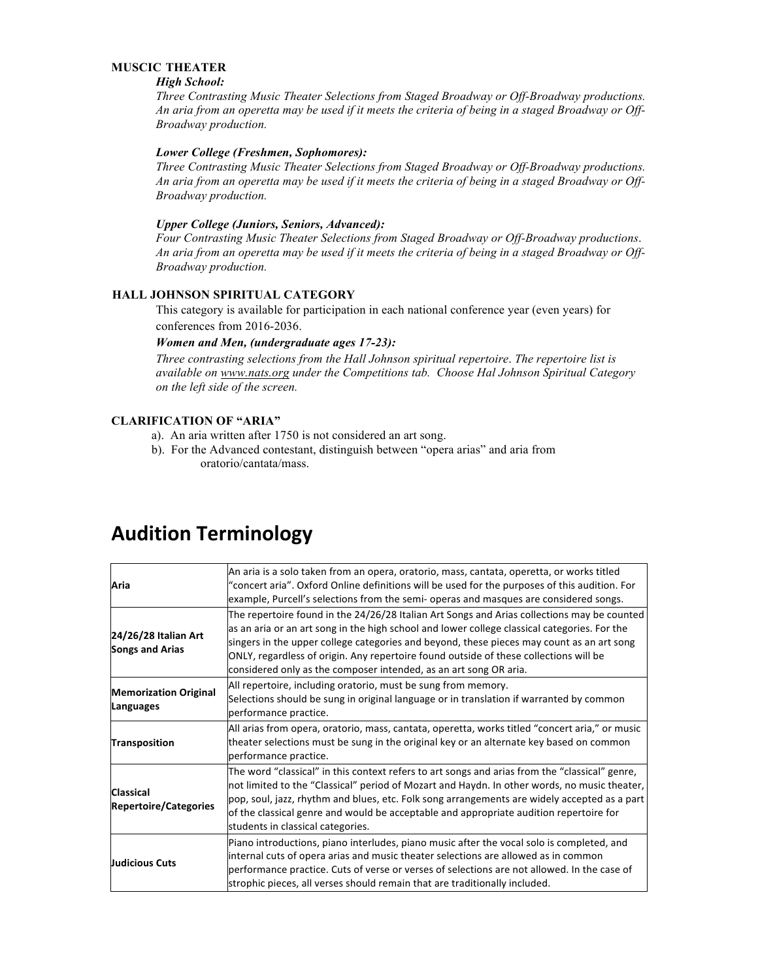## **MUSCIC THEATER**

#### *High School:*

*Three Contrasting Music Theater Selections from Staged Broadway or Off-Broadway productions. An aria from an operetta may be used if it meets the criteria of being in a staged Broadway or Off-Broadway production.*

#### *Lower College (Freshmen, Sophomores):*

*Three Contrasting Music Theater Selections from Staged Broadway or Off-Broadway productions. An aria from an operetta may be used if it meets the criteria of being in a staged Broadway or Off-Broadway production.*

## *Upper College (Juniors, Seniors, Advanced):*

*Four Contrasting Music Theater Selections from Staged Broadway or Off-Broadway productions*. *An aria from an operetta may be used if it meets the criteria of being in a staged Broadway or Off-Broadway production.*

## **HALL JOHNSON SPIRITUAL CATEGORY**

This category is available for participation in each national conference year (even years) for conferences from 2016-2036.

#### *Women and Men, (undergraduate ages 17-23):*

*Three contrasting selections from the Hall Johnson spiritual repertoire*. *The repertoire list is available on www.nats.org under the Competitions tab. Choose Hal Johnson Spiritual Category on the left side of the screen.*

## **CLARIFICATION OF "ARIA"**

- a). An aria written after 1750 is not considered an art song.
- b). For the Advanced contestant, distinguish between "opera arias" and aria from oratorio/cantata/mass.

## **Audition Terminology**

| Aria                                             | An aria is a solo taken from an opera, oratorio, mass, cantata, operetta, or works titled<br>"concert aria". Oxford Online definitions will be used for the purposes of this audition. For<br>example, Purcell's selections from the semi- operas and masques are considered songs.                                                                                                                                                                    |
|--------------------------------------------------|--------------------------------------------------------------------------------------------------------------------------------------------------------------------------------------------------------------------------------------------------------------------------------------------------------------------------------------------------------------------------------------------------------------------------------------------------------|
| 24/26/28 Italian Art<br><b>Songs and Arias</b>   | The repertoire found in the 24/26/28 Italian Art Songs and Arias collections may be counted<br>as an aria or an art song in the high school and lower college classical categories. For the<br>singers in the upper college categories and beyond, these pieces may count as an art song<br>ONLY, regardless of origin. Any repertoire found outside of these collections will be<br>considered only as the composer intended, as an art song OR aria. |
| <b>Memorization Original</b><br>Languages        | All repertoire, including oratorio, must be sung from memory.<br>Selections should be sung in original language or in translation if warranted by common<br>performance practice.                                                                                                                                                                                                                                                                      |
| Transposition                                    | All arias from opera, oratorio, mass, cantata, operetta, works titled "concert aria," or music<br>theater selections must be sung in the original key or an alternate key based on common<br>performance practice.                                                                                                                                                                                                                                     |
| <b>Classical</b><br><b>Repertoire/Categories</b> | The word "classical" in this context refers to art songs and arias from the "classical" genre,<br>not limited to the "Classical" period of Mozart and Haydn. In other words, no music theater,<br>pop, soul, jazz, rhythm and blues, etc. Folk song arrangements are widely accepted as a part<br>of the classical genre and would be acceptable and appropriate audition repertoire for<br>students in classical categories.                          |
| <b>Judicious Cuts</b>                            | Piano introductions, piano interludes, piano music after the vocal solo is completed, and<br>internal cuts of opera arias and music theater selections are allowed as in common<br>performance practice. Cuts of verse or verses of selections are not allowed. In the case of<br>strophic pieces, all verses should remain that are traditionally included.                                                                                           |